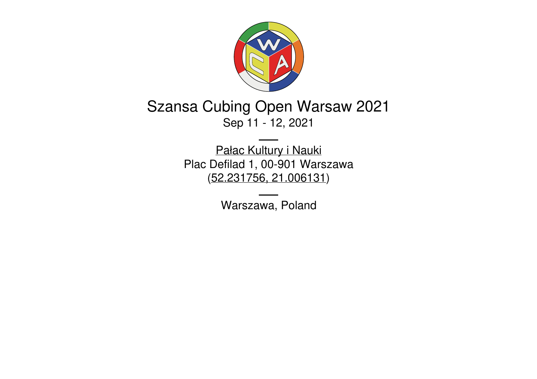

# Szansa Cubing Open Warsaw 2021 Sep 11 - 12, 2021

Pałac [Kultury](https://pkin.pl/) i Nauki Plac Defilad 1, 00-901 Warszawa [\(52.231756,](https://www.google.com/maps/place/52.231756,21.006131) 21.006131)

Warszawa, Poland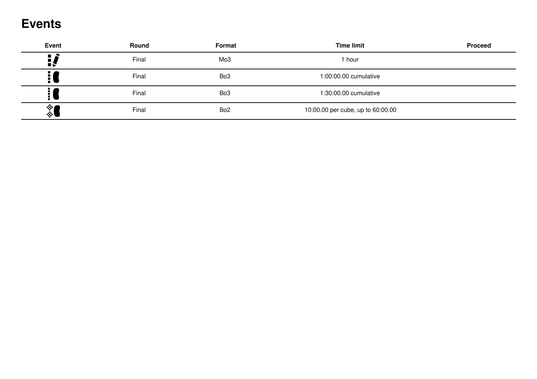## **Events**

| <b>Event</b> | Round | Format          | <b>Time limit</b>                 | <b>Proceed</b> |
|--------------|-------|-----------------|-----------------------------------|----------------|
| Η,           | Final | Mo3             | 1 hour                            |                |
| H)           | Final | Bo <sub>3</sub> | 1:00:00.00 cumulative             |                |
| Ē١           | Final | Bo <sub>3</sub> | 1:30:00.00 cumulative             |                |
| 《            | Final | Bo <sub>2</sub> | 10:00.00 per cube, up to 60:00.00 |                |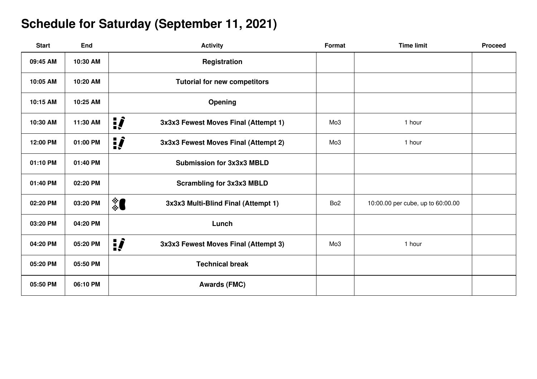## **Schedule for Saturday (September 11, 2021)**

| <b>Start</b> | <b>End</b> | <b>Activity</b>                             | Format          | <b>Time limit</b>                 | <b>Proceed</b> |
|--------------|------------|---------------------------------------------|-----------------|-----------------------------------|----------------|
| 09:45 AM     | 10:30 AM   | Registration                                |                 |                                   |                |
| 10:05 AM     | 10:20 AM   | <b>Tutorial for new competitors</b>         |                 |                                   |                |
| 10:15 AM     | 10:25 AM   | Opening                                     |                 |                                   |                |
| 10:30 AM     | 11:30 AM   | ij,<br>3x3x3 Fewest Moves Final (Attempt 1) | Mo <sub>3</sub> | 1 hour                            |                |
| 12:00 PM     | 01:00 PM   | ij<br>3x3x3 Fewest Moves Final (Attempt 2)  | Mo <sub>3</sub> | 1 hour                            |                |
| 01:10 PM     | 01:40 PM   | <b>Submission for 3x3x3 MBLD</b>            |                 |                                   |                |
| 01:40 PM     | 02:20 PM   | <b>Scrambling for 3x3x3 MBLD</b>            |                 |                                   |                |
| 02:20 PM     | 03:20 PM   | ै<br>3x3x3 Multi-Blind Final (Attempt 1)    | Bo <sub>2</sub> | 10:00.00 per cube, up to 60:00.00 |                |
| 03:20 PM     | 04:20 PM   | Lunch                                       |                 |                                   |                |
| 04:20 PM     | 05:20 PM   | ij<br>3x3x3 Fewest Moves Final (Attempt 3)  | Mo <sub>3</sub> | 1 hour                            |                |
| 05:20 PM     | 05:50 PM   | <b>Technical break</b>                      |                 |                                   |                |
| 05:50 PM     | 06:10 PM   | <b>Awards (FMC)</b>                         |                 |                                   |                |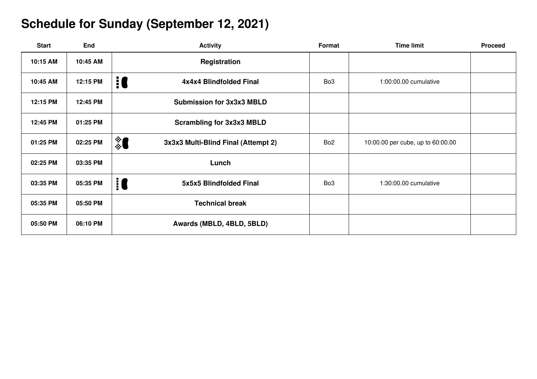### **Schedule for Sunday (September 12, 2021)**

| <b>Start</b> | End      | <b>Activity</b>                            | Format          | <b>Time limit</b>                 | <b>Proceed</b> |
|--------------|----------|--------------------------------------------|-----------------|-----------------------------------|----------------|
| 10:15 AM     | 10:45 AM | Registration                               |                 |                                   |                |
| 10:45 AM     | 12:15 PM | 10<br>4x4x4 Blindfolded Final              | Bo <sub>3</sub> | 1:00:00.00 cumulative             |                |
| 12:15 PM     | 12:45 PM | <b>Submission for 3x3x3 MBLD</b>           |                 |                                   |                |
| 12:45 PM     | 01:25 PM | <b>Scrambling for 3x3x3 MBLD</b>           |                 |                                   |                |
| 01:25 PM     | 02:25 PM | \$0<br>3x3x3 Multi-Blind Final (Attempt 2) | Bo <sub>2</sub> | 10:00.00 per cube, up to 60:00.00 |                |
| 02:25 PM     | 03:35 PM | Lunch                                      |                 |                                   |                |
| 03:35 PM     | 05:35 PM | $\mathbf{R}$<br>5x5x5 Blindfolded Final    | Bo <sub>3</sub> | 1:30:00.00 cumulative             |                |
| 05:35 PM     | 05:50 PM | <b>Technical break</b>                     |                 |                                   |                |
| 05:50 PM     | 06:10 PM | Awards (MBLD, 4BLD, 5BLD)                  |                 |                                   |                |